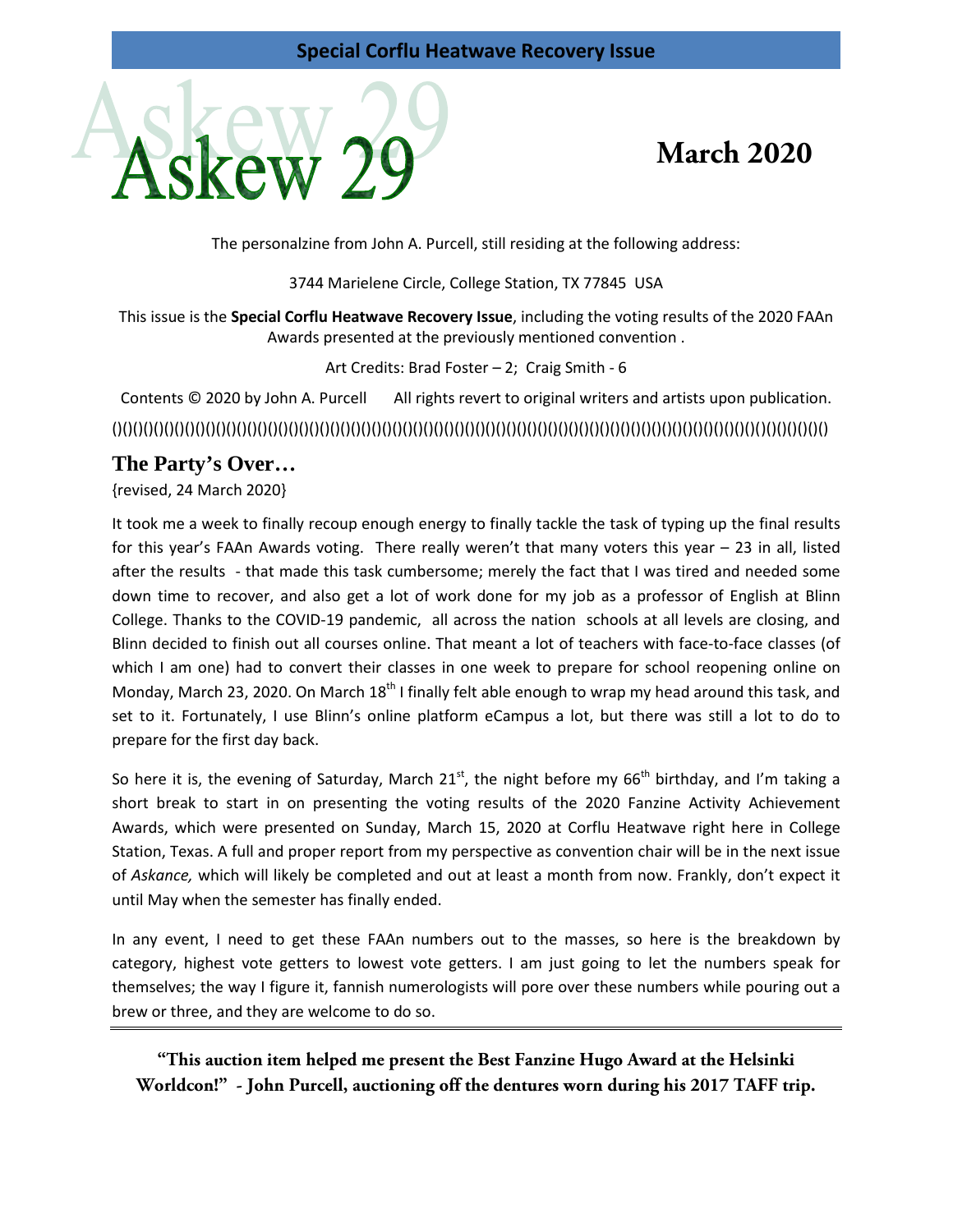### **Special Corflu Heatwave Recovery Issue**



**March 2020**

The personalzine from John A. Purcell, still residing at the following address:

3744 Marielene Circle, College Station, TX 77845 USA

This issue is the **Special Corflu Heatwave Recovery Issue**, including the voting results of the 2020 FAAn Awards presented at the previously mentioned convention .

Art Credits: Brad Foster – 2; Craig Smith - 6

Contents © 2020 by John A. Purcell All rights revert to original writers and artists upon publication. ()()()()()()()()()()()()()()()()()()()()()()()()()()()()()()()()()()()()()()()()()()()()()()()()()()()()()()()()()()()()()()()()()()()()()

## **The Party's Over…**

{revised, 24 March 2020}

It took me a week to finally recoup enough energy to finally tackle the task of typing up the final results for this year's FAAn Awards voting. There really weren't that many voters this year – 23 in all, listed after the results - that made this task cumbersome; merely the fact that I was tired and needed some down time to recover, and also get a lot of work done for my job as a professor of English at Blinn College. Thanks to the COVID-19 pandemic, all across the nation schools at all levels are closing, and Blinn decided to finish out all courses online. That meant a lot of teachers with face-to-face classes (of which I am one) had to convert their classes in one week to prepare for school reopening online on Monday, March 23, 2020. On March  $18<sup>th</sup>$  I finally felt able enough to wrap my head around this task, and set to it. Fortunately, I use Blinn's online platform eCampus a lot, but there was still a lot to do to prepare for the first day back.

So here it is, the evening of Saturday, March 21<sup>st</sup>, the night before my 66<sup>th</sup> birthday, and I'm taking a short break to start in on presenting the voting results of the 2020 Fanzine Activity Achievement Awards, which were presented on Sunday, March 15, 2020 at Corflu Heatwave right here in College Station, Texas. A full and proper report from my perspective as convention chair will be in the next issue of *Askance,* which will likely be completed and out at least a month from now. Frankly, don't expect it until May when the semester has finally ended.

In any event, I need to get these FAAn numbers out to the masses, so here is the breakdown by category, highest vote getters to lowest vote getters. I am just going to let the numbers speak for themselves; the way I figure it, fannish numerologists will pore over these numbers while pouring out a brew or three, and they are welcome to do so.

**"This auction item helped me present the Best Fanzine Hugo Award at the Helsinki Worldcon!" - John Purcell, auctioning off the dentures worn during his 2017 TAFF trip.**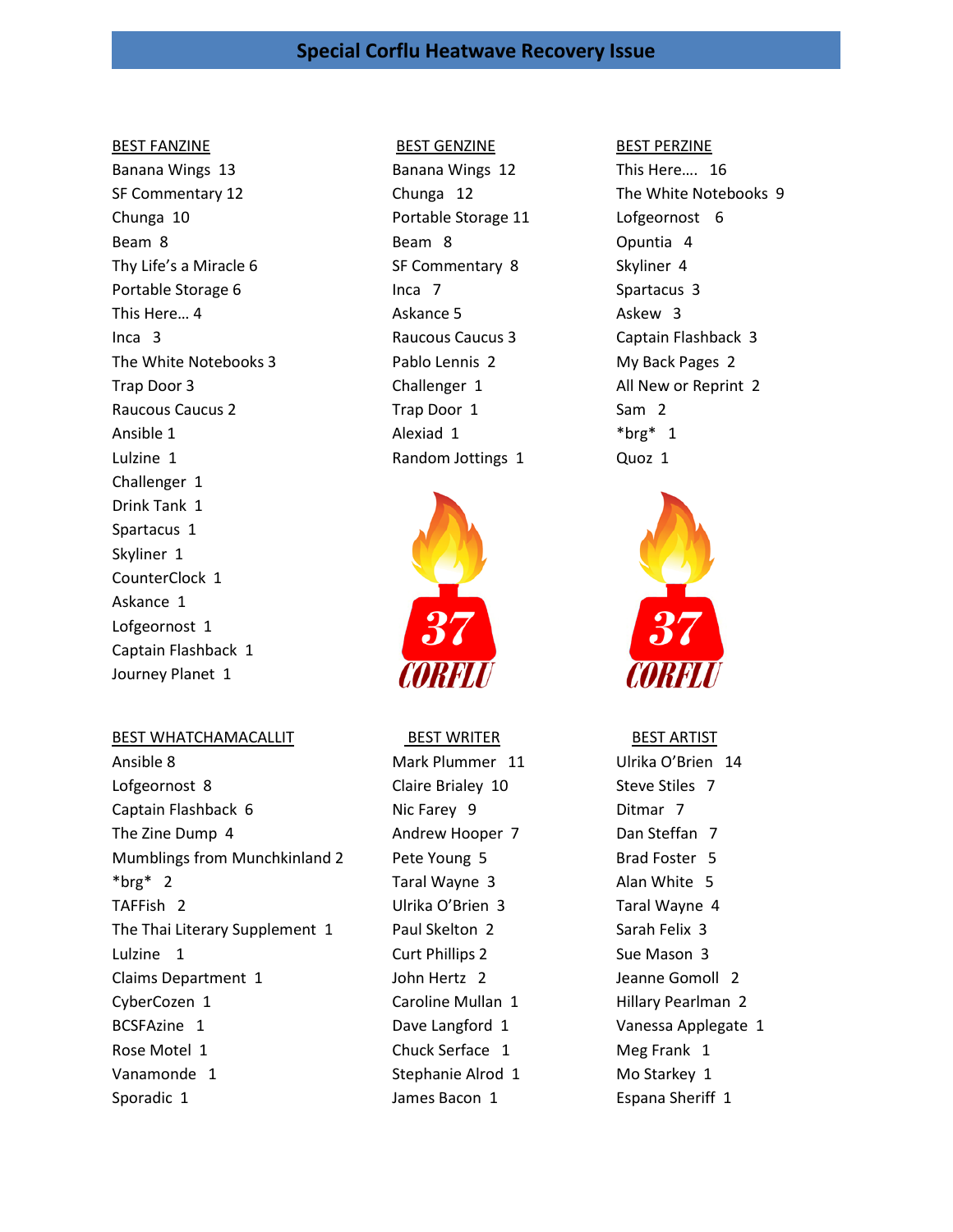Banana Wings 13 **Banana Wings 12** This Here .... 16 SF Commentary 12 Chunga 12 The White Notebooks 9 Chunga 10 **Portable Storage 11** Lofgeornost 6 Beam 8 Opuntia 4 Thy Life's a Miracle 6 SF Commentary 8 Skyliner 4 Portable Storage 6 **Inca 7** Inca 7 Spartacus 3 This Here... 4 **Askance 5** Askance 5 **Askew 3** Askew 3 Inca 3 Raucous Caucus 3 Captain Flashback 3 The White Notebooks 3 The White Notebooks 3 Pablo Lennis 2 The White Notebooks 2 Trap Door 3 **Challenger 1** All New or Reprint 2 Raucous Caucus 2 Trap Door 1 Sam 2 Ansible 1 **Alexiad 1** \*brg\* 1 Lulzine 1 **Calcular 2 Contract Contract Contract Contract Contract Contract Contract Contract Contract Contract Contract Contract Contract Contract Contract Contract Contract Contract Contract Contract Contract Contract Co** Challenger 1 Drink Tank 1 Spartacus 1 Skyliner 1 CounterClock 1 Askance 1 Lofgeornost 1 Captain Flashback 1 Journey Planet 1

#### BEST WHATCHAMACALLIT **BEST WRITER** BEST ARTIST

Ansible 8 Mark Plummer 11 Ulrika O'Brien 14 Lofgeornost 8 Claire Brialey 10 Steve Stiles 7 Captain Flashback 6 Nic Farey 9 Ditmar 7 The Zine Dump 4 **Andrew Hooper 7** Dan Steffan 7 Mumblings from Munchkinland 2 Pete Young 5 Brad Foster 5 \*brg\* 2 Taral Wayne 3 Alan White 5 TAFFish 2 Ulrika O'Brien 3 Taral Wayne 4 The Thai Literary Supplement 1 Paul Skelton 2 Sarah Felix 3 Lulzine 1 Curt Phillips 2 Sue Mason 3 Claims Department 1 John Hertz 2 Jeanne Gomoll 2 CyberCozen 1 Caroline Mullan 1 Hillary Pearlman 2 BCSFAzine 1 **Dave Langford 1** Vanessa Applegate 1 Rose Motel 1 **Chuck Serface 1** Meg Frank 1 Vanamonde 1 **Stephanie Alrod 1** Mo Starkey 1 Sporadic 1 **Sporadic 1** James Bacon 1 **Espana Sheriff 1** 

**BEST FANZINE** BEST GENZINE BEST GENZINE BEST PERZINE



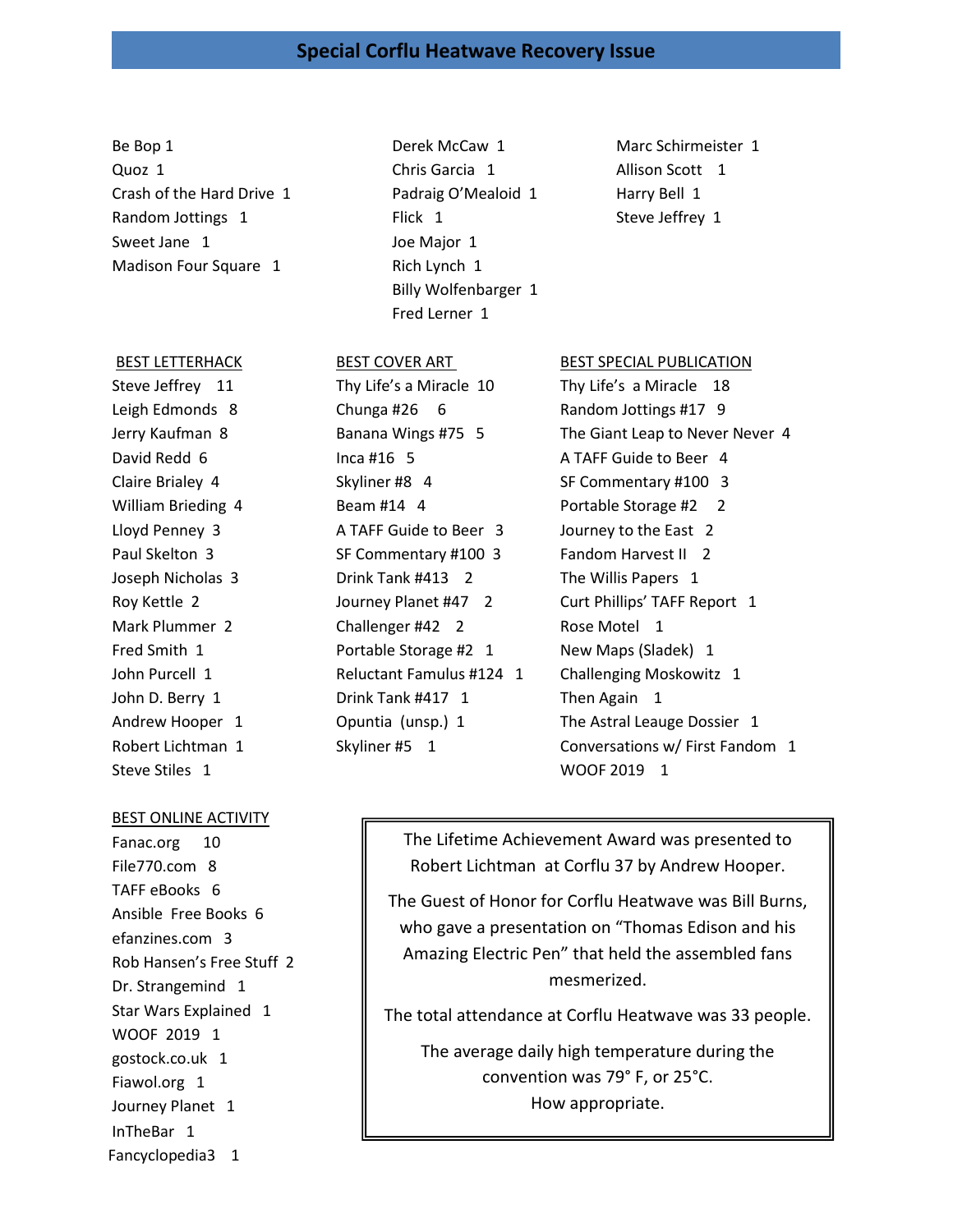Quoz 1 **Chris Garcia 1** Allison Scott 1 Crash of the Hard Drive 1 **Padraig O'Mealoid 1** Harry Bell 1 Random Jottings 1 Flick 1 Steve Jeffrey 1 Sweet Jane 1 Joe Major 1 Madison Four Square 1 Rich Lynch 1

Billy Wolfenbarger 1 Fred Lerner 1

Steve Stiles 1 and 1 WOOF 2019 1

#### BEST ONLINE ACTIVITY

Fanac.org 10 File770.com 8 TAFF eBooks 6 Ansible Free Books 6 efanzines.com 3 Rob Hansen's Free Stuff 2 Dr. Strangemind 1 Star Wars Explained 1 WOOF 2019 1 gostock.co.uk 1 Fiawol.org 1 Journey Planet 1 InTheBar 1 Fancyclopedia3 1

Steve Jeffrey 11 Thy Life's a Miracle 10 Thy Life's a Miracle 18 Leigh Edmonds 8 Chunga #26 6 Random Jottings #17 9 David Redd 6 **Inca #16 5** A TAFF Guide to Beer 4 Claire Brialey 4 Skyliner #8 4 SF Commentary #100 3 William Brieding 4 Beam #14 4 Portable Storage #2 2 Lloyd Penney 3 A TAFF Guide to Beer 3 Journey to the East 2 Paul Skelton 3 SF Commentary #100 3 Fandom Harvest II 2 Joseph Nicholas 3 Drink Tank #413 2 The Willis Papers 1 Mark Plummer 2 Challenger #42 2 Rose Motel 1 Fred Smith 1 **Portable Storage #2 1** New Maps (Sladek) 1 John Purcell 1 **Reluctant Famulus #124 1** Challenging Moskowitz 1 John D. Berry 1 **Drink Tank #417 1** Then Again 1

# Be Bop 1 **Derek McCaw 1** Marc Schirmeister 1

#### BEST LETTERHACK BEST COVER ART BEST SPECIAL PUBLICATION

Jerry Kaufman 8 **Banana Wings #75 5** The Giant Leap to Never Never 4 Roy Kettle 2 **Journey Planet #47 2** Curt Phillips' TAFF Report 1 Andrew Hooper 1 **C** Opuntia (unsp.) 1 The Astral Leauge Dossier 1 Robert Lichtman 1 Skyliner #5 1 Conversations w/ First Fandom 1

> The Lifetime Achievement Award was presented to Robert Lichtman at Corflu 37 by Andrew Hooper.

The Guest of Honor for Corflu Heatwave was Bill Burns, who gave a presentation on "Thomas Edison and his Amazing Electric Pen" that held the assembled fans mesmerized.

The total attendance at Corflu Heatwave was 33 people.

The average daily high temperature during the convention was 79° F, or 25°C. How appropriate.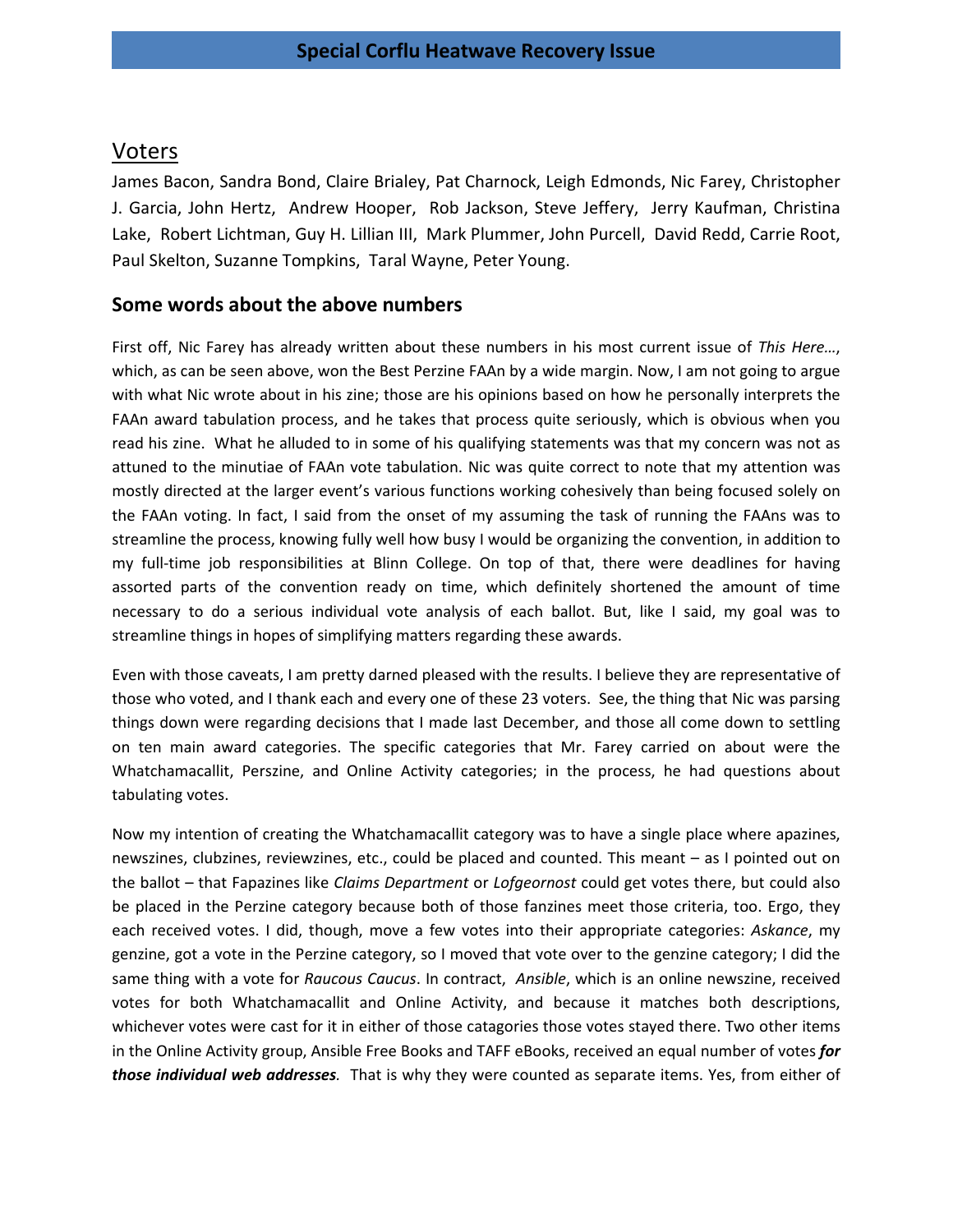## Voters

James Bacon, Sandra Bond, Claire Brialey, Pat Charnock, Leigh Edmonds, Nic Farey, Christopher J. Garcia, John Hertz, Andrew Hooper, Rob Jackson, Steve Jeffery, Jerry Kaufman, Christina Lake, Robert Lichtman, Guy H. Lillian III, Mark Plummer, John Purcell, David Redd, Carrie Root, Paul Skelton, Suzanne Tompkins, Taral Wayne, Peter Young.

### **Some words about the above numbers**

First off, Nic Farey has already written about these numbers in his most current issue of *This Here…*, which, as can be seen above, won the Best Perzine FAAn by a wide margin. Now, I am not going to argue with what Nic wrote about in his zine; those are his opinions based on how he personally interprets the FAAn award tabulation process, and he takes that process quite seriously, which is obvious when you read his zine. What he alluded to in some of his qualifying statements was that my concern was not as attuned to the minutiae of FAAn vote tabulation. Nic was quite correct to note that my attention was mostly directed at the larger event's various functions working cohesively than being focused solely on the FAAn voting. In fact, I said from the onset of my assuming the task of running the FAAns was to streamline the process, knowing fully well how busy I would be organizing the convention, in addition to my full-time job responsibilities at Blinn College. On top of that, there were deadlines for having assorted parts of the convention ready on time, which definitely shortened the amount of time necessary to do a serious individual vote analysis of each ballot. But, like I said, my goal was to streamline things in hopes of simplifying matters regarding these awards.

Even with those caveats, I am pretty darned pleased with the results. I believe they are representative of those who voted, and I thank each and every one of these 23 voters. See, the thing that Nic was parsing things down were regarding decisions that I made last December, and those all come down to settling on ten main award categories. The specific categories that Mr. Farey carried on about were the Whatchamacallit, Perszine, and Online Activity categories; in the process, he had questions about tabulating votes.

Now my intention of creating the Whatchamacallit category was to have a single place where apazines, newszines, clubzines, reviewzines, etc., could be placed and counted. This meant – as I pointed out on the ballot – that Fapazines like *Claims Department* or *Lofgeornost* could get votes there, but could also be placed in the Perzine category because both of those fanzines meet those criteria, too. Ergo, they each received votes. I did, though, move a few votes into their appropriate categories: *Askance*, my genzine, got a vote in the Perzine category, so I moved that vote over to the genzine category; I did the same thing with a vote for *Raucous Caucus*. In contract, *Ansible*, which is an online newszine, received votes for both Whatchamacallit and Online Activity, and because it matches both descriptions, whichever votes were cast for it in either of those catagories those votes stayed there. Two other items in the Online Activity group, Ansible Free Books and TAFF eBooks, received an equal number of votes *for those individual web addresses.* That is why they were counted as separate items. Yes, from either of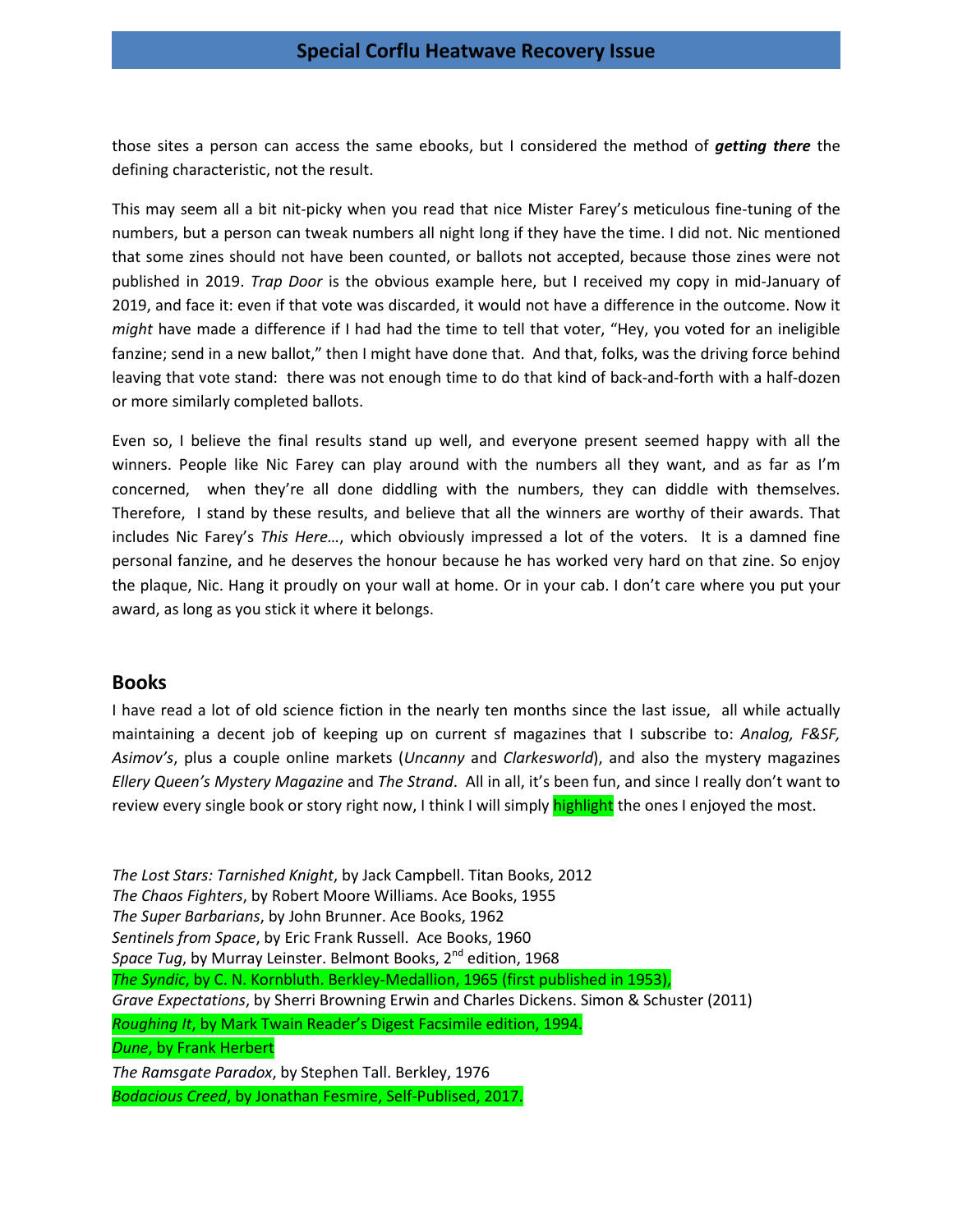those sites a person can access the same ebooks, but I considered the method of *getting there* the defining characteristic, not the result.

This may seem all a bit nit-picky when you read that nice Mister Farey's meticulous fine-tuning of the numbers, but a person can tweak numbers all night long if they have the time. I did not. Nic mentioned that some zines should not have been counted, or ballots not accepted, because those zines were not published in 2019. *Trap Door* is the obvious example here, but I received my copy in mid-January of 2019, and face it: even if that vote was discarded, it would not have a difference in the outcome. Now it *might* have made a difference if I had had the time to tell that voter, "Hey, you voted for an ineligible fanzine; send in a new ballot," then I might have done that. And that, folks, was the driving force behind leaving that vote stand: there was not enough time to do that kind of back-and-forth with a half-dozen or more similarly completed ballots.

Even so, I believe the final results stand up well, and everyone present seemed happy with all the winners. People like Nic Farey can play around with the numbers all they want, and as far as I'm concerned, when they're all done diddling with the numbers, they can diddle with themselves. Therefore, I stand by these results, and believe that all the winners are worthy of their awards. That includes Nic Farey's *This Here…*, which obviously impressed a lot of the voters. It is a damned fine personal fanzine, and he deserves the honour because he has worked very hard on that zine. So enjoy the plaque, Nic. Hang it proudly on your wall at home. Or in your cab. I don't care where you put your award, as long as you stick it where it belongs.

#### **Books**

I have read a lot of old science fiction in the nearly ten months since the last issue, all while actually maintaining a decent job of keeping up on current sf magazines that I subscribe to: *Analog, F&SF, Asimov's*, plus a couple online markets (*Uncanny* and *Clarkesworld*), and also the mystery magazines *Ellery Queen's Mystery Magazine* and *The Strand*. All in all, it's been fun, and since I really don't want to review every single book or story right now, I think I will simply **highlight** the ones I enjoyed the most.

*The Lost Stars: Tarnished Knight*, by Jack Campbell. Titan Books, 2012 *The Chaos Fighters*, by Robert Moore Williams. Ace Books, 1955 *The Super Barbarians*, by John Brunner. Ace Books, 1962 *Sentinels from Space*, by Eric Frank Russell. Ace Books, 1960 Space Tug, by Murray Leinster. Belmont Books, 2<sup>nd</sup> edition, 1968 *The Syndic*, by C. N. Kornbluth. Berkley-Medallion, 1965 (first published in 1953), *Grave Expectations*, by Sherri Browning Erwin and Charles Dickens. Simon & Schuster (2011) *Roughing It*, by Mark Twain Reader's Digest Facsimile edition, 1994. *Dune*, by Frank Herbert *The Ramsgate Paradox*, by Stephen Tall. Berkley, 1976 *Bodacious Creed*, by Jonathan Fesmire, Self-Publised, 2017.